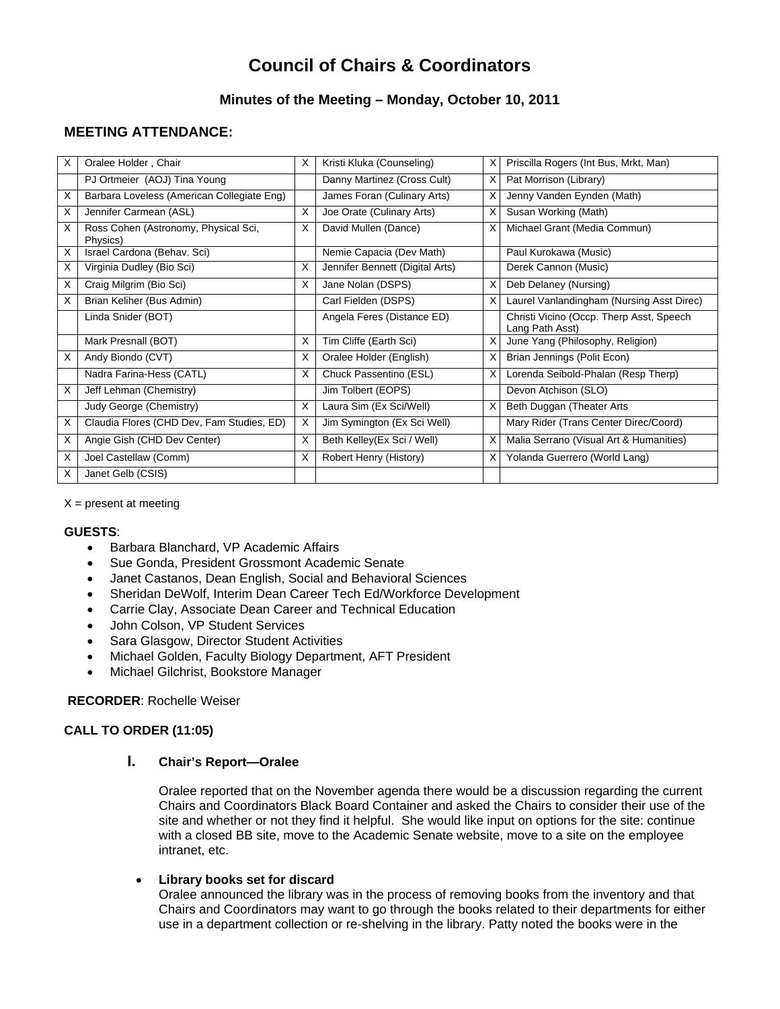# **Council of Chairs & Coordinators**

# **Minutes of the Meeting – Monday, October 10, 2011**

# **MEETING ATTENDANCE:**

| X  | Oralee Holder, Chair                             | X | Kristi Kluka (Counseling)       | х | Priscilla Rogers (Int Bus, Mrkt, Man)                       |
|----|--------------------------------------------------|---|---------------------------------|---|-------------------------------------------------------------|
|    | PJ Ortmeier (AOJ) Tina Young                     |   | Danny Martinez (Cross Cult)     | X | Pat Morrison (Library)                                      |
| X  | Barbara Loveless (American Collegiate Eng)       |   | James Foran (Culinary Arts)     | X | Jenny Vanden Eynden (Math)                                  |
| Х  | Jennifer Carmean (ASL)                           | X | Joe Orate (Culinary Arts)       | X | Susan Working (Math)                                        |
| X  | Ross Cohen (Astronomy, Physical Sci,<br>Physics) | X | David Mullen (Dance)            | X | Michael Grant (Media Commun)                                |
| X  | Israel Cardona (Behav. Sci)                      |   | Nemie Capacia (Dev Math)        |   | Paul Kurokawa (Music)                                       |
| X  | Virginia Dudley (Bio Sci)                        | X | Jennifer Bennett (Digital Arts) |   | Derek Cannon (Music)                                        |
| X  | Craig Milgrim (Bio Sci)                          | X | Jane Nolan (DSPS)               | X | Deb Delaney (Nursing)                                       |
| X  | Brian Keliher (Bus Admin)                        |   | Carl Fielden (DSPS)             |   | Laurel Vanlandingham (Nursing Asst Direc)                   |
|    | Linda Snider (BOT)                               |   | Angela Feres (Distance ED)      |   | Christi Vicino (Occp. Therp Asst, Speech<br>Lang Path Asst) |
|    | Mark Presnall (BOT)                              | X | Tim Cliffe (Earth Sci)          | X | June Yang (Philosophy, Religion)                            |
| X  | Andy Biondo (CVT)                                | X | Oralee Holder (English)         | х | Brian Jennings (Polit Econ)                                 |
|    | Nadra Farina-Hess (CATL)                         | X | Chuck Passentino (ESL)          | X | Lorenda Seibold-Phalan (Resp Therp)                         |
| X  | Jeff Lehman (Chemistry)                          |   | Jim Tolbert (EOPS)              |   | Devon Atchison (SLO)                                        |
|    | Judy George (Chemistry)                          | X | Laura Sim (Ex Sci/Well)         | X | Beth Duggan (Theater Arts                                   |
| X  | Claudia Flores (CHD Dev, Fam Studies, ED)        | X | Jim Symington (Ex Sci Well)     |   | Mary Rider (Trans Center Direc/Coord)                       |
| X  | Angie Gish (CHD Dev Center)                      | X | Beth Kelley(Ex Sci / Well)      | X | Malia Serrano (Visual Art & Humanities)                     |
| X  | Joel Castellaw (Comm)                            | X | Robert Henry (History)          | X | Yolanda Guerrero (World Lang)                               |
| X. | Janet Gelb (CSIS)                                |   |                                 |   |                                                             |

 $X =$  present at meeting

#### **GUESTS**:

- Barbara Blanchard, VP Academic Affairs
- Sue Gonda, President Grossmont Academic Senate
- Janet Castanos, Dean English, Social and Behavioral Sciences
- Sheridan DeWolf, Interim Dean Career Tech Ed/Workforce Development
- Carrie Clay, Associate Dean Career and Technical Education
- John Colson, VP Student Services
- Sara Glasgow, Director Student Activities
- Michael Golden, Faculty Biology Department, AFT President
- Michael Gilchrist, Bookstore Manager

## **RECORDER**: Rochelle Weiser

## **CALL TO ORDER (11:05)**

#### **I. Chair's Report—Oralee**

Oralee reported that on the November agenda there would be a discussion regarding the current Chairs and Coordinators Black Board Container and asked the Chairs to consider their use of the site and whether or not they find it helpful. She would like input on options for the site: continue with a closed BB site, move to the Academic Senate website, move to a site on the employee intranet, etc.

#### **Library books set for discard**

Oralee announced the library was in the process of removing books from the inventory and that Chairs and Coordinators may want to go through the books related to their departments for either use in a department collection or re-shelving in the library. Patty noted the books were in the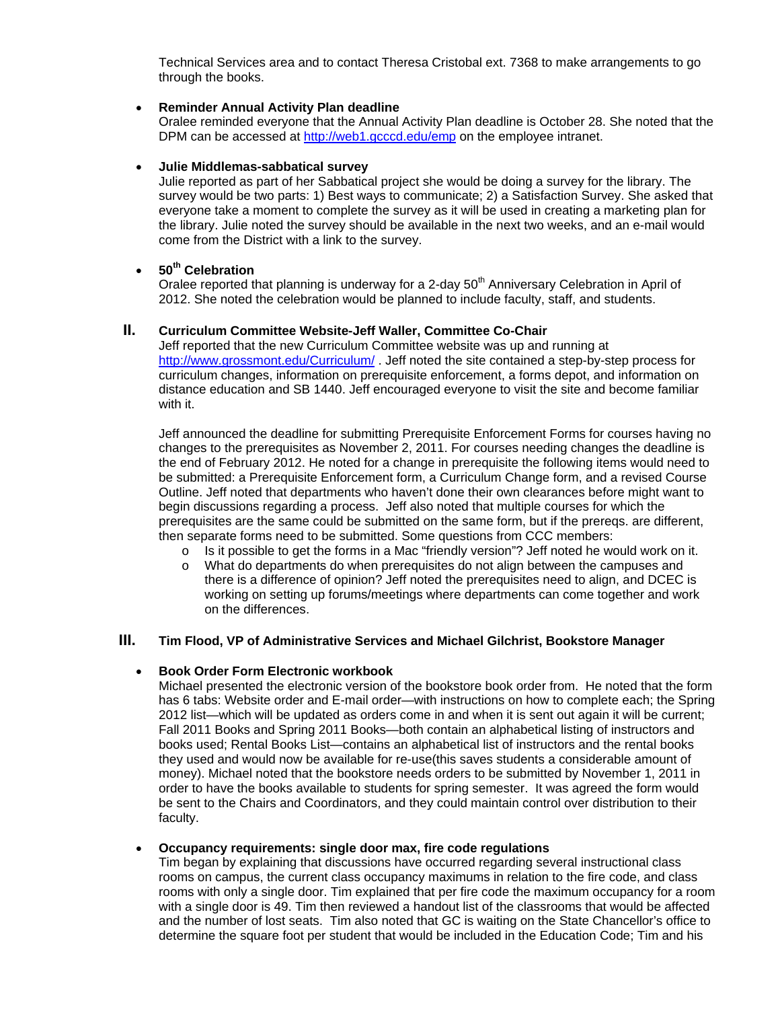Technical Services area and to contact Theresa Cristobal ext. 7368 to make arrangements to go through the books.

#### **Reminder Annual Activity Plan deadline**

Oralee reminded everyone that the Annual Activity Plan deadline is October 28. She noted that the DPM can be accessed at http://web1.gcccd.edu/emp on the employee intranet.

#### **Julie Middlemas-sabbatical survey**

Julie reported as part of her Sabbatical project she would be doing a survey for the library. The survey would be two parts: 1) Best ways to communicate; 2) a Satisfaction Survey. She asked that everyone take a moment to complete the survey as it will be used in creating a marketing plan for the library. Julie noted the survey should be available in the next two weeks, and an e-mail would come from the District with a link to the survey.

## **50th Celebration**

Oralee reported that planning is underway for a 2-day 50<sup>th</sup> Anniversary Celebration in April of 2012. She noted the celebration would be planned to include faculty, staff, and students.

#### **II. Curriculum Committee Website-Jeff Waller, Committee Co-Chair**

Jeff reported that the new Curriculum Committee website was up and running at http://www.grossmont.edu/Curriculum/. Jeff noted the site contained a step-by-step process for curriculum changes, information on prerequisite enforcement, a forms depot, and information on distance education and SB 1440. Jeff encouraged everyone to visit the site and become familiar with it.

Jeff announced the deadline for submitting Prerequisite Enforcement Forms for courses having no changes to the prerequisites as November 2, 2011. For courses needing changes the deadline is the end of February 2012. He noted for a change in prerequisite the following items would need to be submitted: a Prerequisite Enforcement form, a Curriculum Change form, and a revised Course Outline. Jeff noted that departments who haven't done their own clearances before might want to begin discussions regarding a process. Jeff also noted that multiple courses for which the prerequisites are the same could be submitted on the same form, but if the prereqs. are different, then separate forms need to be submitted. Some questions from CCC members:

- $\circ$  Is it possible to get the forms in a Mac "friendly version"? Jeff noted he would work on it.
- o What do departments do when prerequisites do not align between the campuses and there is a difference of opinion? Jeff noted the prerequisites need to align, and DCEC is working on setting up forums/meetings where departments can come together and work on the differences.

#### **III. Tim Flood, VP of Administrative Services and Michael Gilchrist, Bookstore Manager**

#### **Book Order Form Electronic workbook**

Michael presented the electronic version of the bookstore book order from. He noted that the form has 6 tabs: Website order and E-mail order—with instructions on how to complete each; the Spring 2012 list—which will be updated as orders come in and when it is sent out again it will be current; Fall 2011 Books and Spring 2011 Books—both contain an alphabetical listing of instructors and books used; Rental Books List—contains an alphabetical list of instructors and the rental books they used and would now be available for re-use(this saves students a considerable amount of money). Michael noted that the bookstore needs orders to be submitted by November 1, 2011 in order to have the books available to students for spring semester. It was agreed the form would be sent to the Chairs and Coordinators, and they could maintain control over distribution to their faculty.

#### **Occupancy requirements: single door max, fire code regulations**

Tim began by explaining that discussions have occurred regarding several instructional class rooms on campus, the current class occupancy maximums in relation to the fire code, and class rooms with only a single door. Tim explained that per fire code the maximum occupancy for a room with a single door is 49. Tim then reviewed a handout list of the classrooms that would be affected and the number of lost seats. Tim also noted that GC is waiting on the State Chancellor's office to determine the square foot per student that would be included in the Education Code; Tim and his